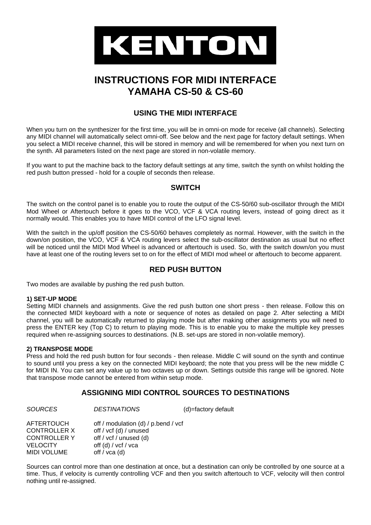

# **INSTRUCTIONS FOR MIDI INTERFACE YAMAHA CS-50 & CS-60**

# **USING THE MIDI INTERFACE**

When you turn on the synthesizer for the first time, you will be in omni-on mode for receive (all channels). Selecting any MIDI channel will automatically select omni-off. See below and the next page for factory default settings. When you select a MIDI receive channel, this will be stored in memory and will be remembered for when you next turn on the synth. All parameters listed on the next page are stored in non-volatile memory.

If you want to put the machine back to the factory default settings at any time, switch the synth on whilst holding the red push button pressed - hold for a couple of seconds then release.

# **SWITCH**

The switch on the control panel is to enable you to route the output of the CS-50/60 sub-oscillator through the MIDI Mod Wheel or Aftertouch before it goes to the VCO, VCF & VCA routing levers, instead of going direct as it normally would. This enables you to have MIDI control of the LFO signal level.

With the switch in the up/off position the CS-50/60 behaves completely as normal. However, with the switch in the down/on position, the VCO, VCF & VCA routing levers select the sub-oscillator destination as usual but no effect will be noticed until the MIDI Mod Wheel is advanced or aftertouch is used. So, with the switch down/on you must have at least one of the routing levers set to on for the effect of MIDI mod wheel or aftertouch to become apparent.

# **RED PUSH BUTTON**

Two modes are available by pushing the red push button.

#### **1) SET-UP MODE**

Setting MIDI channels and assignments. Give the red push button one short press - then release. Follow this on the connected MIDI keyboard with a note or sequence of notes as detailed on page 2. After selecting a MIDI channel, you will be automatically returned to playing mode but after making other assignments you will need to press the ENTER key (Top C) to return to playing mode. This is to enable you to make the multiple key presses required when re-assigning sources to destinations. (N.B. set-ups are stored in non-volatile memory).

#### **2) TRANSPOSE MODE**

Press and hold the red push button for four seconds - then release. Middle C will sound on the synth and continue to sound until you press a key on the connected MIDI keyboard; the note that you press will be the new middle C for MIDI IN. You can set any value up to two octaves up or down. Settings outside this range will be ignored. Note that transpose mode cannot be entered from within setup mode.

# **ASSIGNING MIDI CONTROL SOURCES TO DESTINATIONS**

*SOURCES DESTINATIONS* (d)=factory default

| AFTERTOUCH<br>CONTROLLER X<br>CONTROLLER Y | off / modulation (d) / p.bend / vcf<br>off / vcf (d) / unused<br>off / vcf / unused (d) |
|--------------------------------------------|-----------------------------------------------------------------------------------------|
| VELOCITY                                   | off (d) / vcf / vca                                                                     |
| MIDI VOLUME                                | off / $vca$ (d)                                                                         |

Sources can control more than one destination at once, but a destination can only be controlled by one source at a time. Thus, if velocity is currently controlling VCF and then you switch aftertouch to VCF, velocity will then control nothing until re-assigned.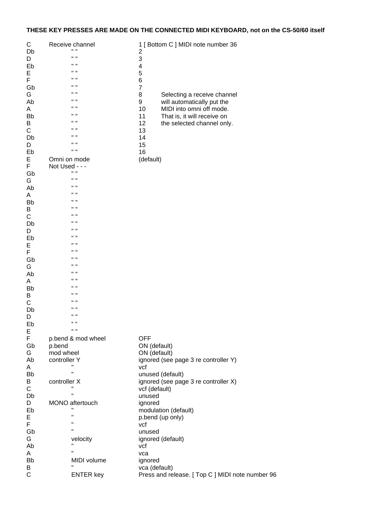# **THESE KEY PRESSES ARE MADE ON THE CONNECTED MIDI KEYBOARD, not on the CS-50/60 itself**

| С<br>Db | Receive channel<br>H H<br>" "  | 1 [ Bottom C ] MIDI note number 36<br>2          |
|---------|--------------------------------|--------------------------------------------------|
| D<br>Eb | $\mathbf{u}$                   | 3<br>4                                           |
| E       | " "                            | 5                                                |
| F       | $\mathbf{u}$                   | 6                                                |
| Gb      | "                              | $\overline{7}$                                   |
| G       | $\mathbf{u}$ $\mathbf{u}$      | 8<br>Selecting a receive channel                 |
| Ab      | $\mathbf{u}$ $\mathbf{u}$      | 9<br>will automatically put the                  |
| A       | $\mathbf{u}$ $\mathbf{u}$      | MIDI into omni off mode.<br>10                   |
| Bb      | " "                            | That is, it will receive on<br>11                |
| B       | $\mathbf{u}$ $\mathbf{u}$      | 12<br>the selected channel only.                 |
| С       | "                              | 13                                               |
| Db      | " "                            | 14                                               |
| D       | " "                            | 15                                               |
| Eb      | $\mathbf{H}$                   | 16                                               |
| E       | Omni on mode                   | (default)                                        |
| F       | Not Used - - -<br>$\mathbf{H}$ |                                                  |
| Gb      | $\mathbf{u}$                   |                                                  |
| G       | " "                            |                                                  |
| Ab      | "                              |                                                  |
| A       | " "                            |                                                  |
| Bb<br>B | " "                            |                                                  |
| С       | "                              |                                                  |
| Db      | " "                            |                                                  |
| D       | " "                            |                                                  |
| Eb      | "                              |                                                  |
| E       | " "                            |                                                  |
| F       | " "                            |                                                  |
| Gb      | "                              |                                                  |
| G       | $\mathbf{u}$ $\mathbf{u}$      |                                                  |
| Ab      | $\mathbf{u}$ $\mathbf{u}$      |                                                  |
| A       | $\mathbf{u}$ $\mathbf{u}$      |                                                  |
| Bb      | " "                            |                                                  |
| B       | " "                            |                                                  |
| С       | "<br>" "                       |                                                  |
| Db      | H H                            |                                                  |
| D       | $66 - 66$                      |                                                  |
| Eb      | $\mathbf{H}$ $\mathbf{H}$      |                                                  |
| Е<br>F  | p.bend & mod wheel             | <b>OFF</b>                                       |
| Gb      | p.bend                         | ON (default)                                     |
| G       | mod wheel                      | ON (default)                                     |
| Ab      | controller Y                   | ignored (see page 3 re controller Y)             |
| A       | п                              | vcf                                              |
| Bb      | $\mathbf{H}$                   | unused (default)                                 |
| B       | controller X                   | ignored (see page 3 re controller X)             |
| С       | п                              | vcf (default)                                    |
| Db      | $\mathbf{H}$                   | unused                                           |
| D       | MONO aftertouch                | ignored                                          |
| Eb      |                                | modulation (default)                             |
| E       | п                              | p.bend (up only)                                 |
| F       | п                              | vcf                                              |
| Gb      | п                              | unused                                           |
| G       | velocity<br>$\mathbf{H}$       | ignored (default)                                |
| Ab      | п                              | vcf                                              |
| Α<br>Bb | MIDI volume                    | vca                                              |
| В       |                                | ignored<br>vca (default)                         |
| C       | <b>ENTER key</b>               | Press and release. [ Top C ] MIDI note number 96 |
|         |                                |                                                  |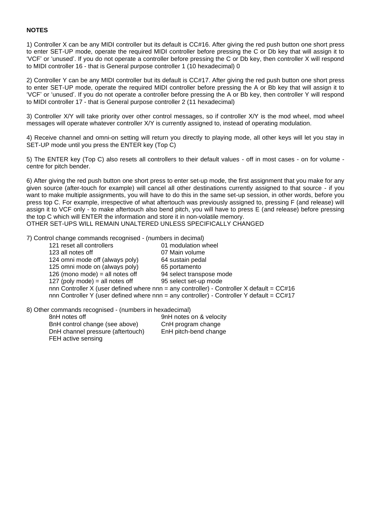#### **NOTES**

1) Controller X can be any MIDI controller but its default is CC#16. After giving the red push button one short press to enter SET-UP mode, operate the required MIDI controller before pressing the C or Db key that will assign it to 'VCF' or 'unused'. If you do not operate a controller before pressing the C or Db key, then controller X will respond to MIDI controller 16 - that is General purpose controller 1 (10 hexadecimal) 0

2) Controller Y can be any MIDI controller but its default is CC#17. After giving the red push button one short press to enter SET-UP mode, operate the required MIDI controller before pressing the A or Bb key that will assign it to 'VCF' or 'unused'. If you do not operate a controller before pressing the A or Bb key, then controller Y will respond to MIDI controller 17 - that is General purpose controller 2 (11 hexadecimal)

3) Controller X/Y will take priority over other control messages, so if controller X/Y is the mod wheel, mod wheel messages will operate whatever controller X/Y is currently assigned to, instead of operating modulation.

4) Receive channel and omni-on setting will return you directly to playing mode, all other keys will let you stay in SET-UP mode until you press the ENTER key (Top C)

5) The ENTER key (Top C) also resets all controllers to their default values - off in most cases - on for volume centre for pitch bender.

6) After giving the red push button one short press to enter set-up mode, the first assignment that you make for any given source (after-touch for example) will cancel all other destinations currently assigned to that source - if you want to make multiple assignments, you will have to do this in the same set-up session, in other words, before you press top C. For example, irrespective of what aftertouch was previously assigned to, pressing F (and release) will assign it to VCF only - to make aftertouch also bend pitch, you will have to press E (and release) before pressing the top C which will ENTER the information and store it in non-volatile memory. OTHER SET-UPS WILL REMAIN UNALTERED UNLESS SPECIFICALLY CHANGED

7) Control change commands recognised - (numbers in decimal)

| 121 reset all controllers       | 01 modulation wheel                                                                         |
|---------------------------------|---------------------------------------------------------------------------------------------|
| 123 all notes off               | 07 Main volume                                                                              |
| 124 omni mode off (always poly) | 64 sustain pedal                                                                            |
| 125 omni mode on (always poly)  | 65 portamento                                                                               |
| 126 (mono mode) = all notes off | 94 select transpose mode                                                                    |
| 127 (poly mode) = all notes off | 95 select set-up mode                                                                       |
|                                 | nnn Controller X (user defined where nnn = any controller) - Controller X default = $CC#16$ |
|                                 | nnn Controller Y (user defined where nnn = any controller) - Controller Y default = $CC#17$ |
|                                 |                                                                                             |

8) Other commands recognised - (numbers in hexadecimal)

| 8nH notes off                     | 9nH notes on & velocity |
|-----------------------------------|-------------------------|
| BnH control change (see above)    | CnH program change      |
| DnH channel pressure (aftertouch) | EnH pitch-bend change   |
| FEH active sensing                |                         |